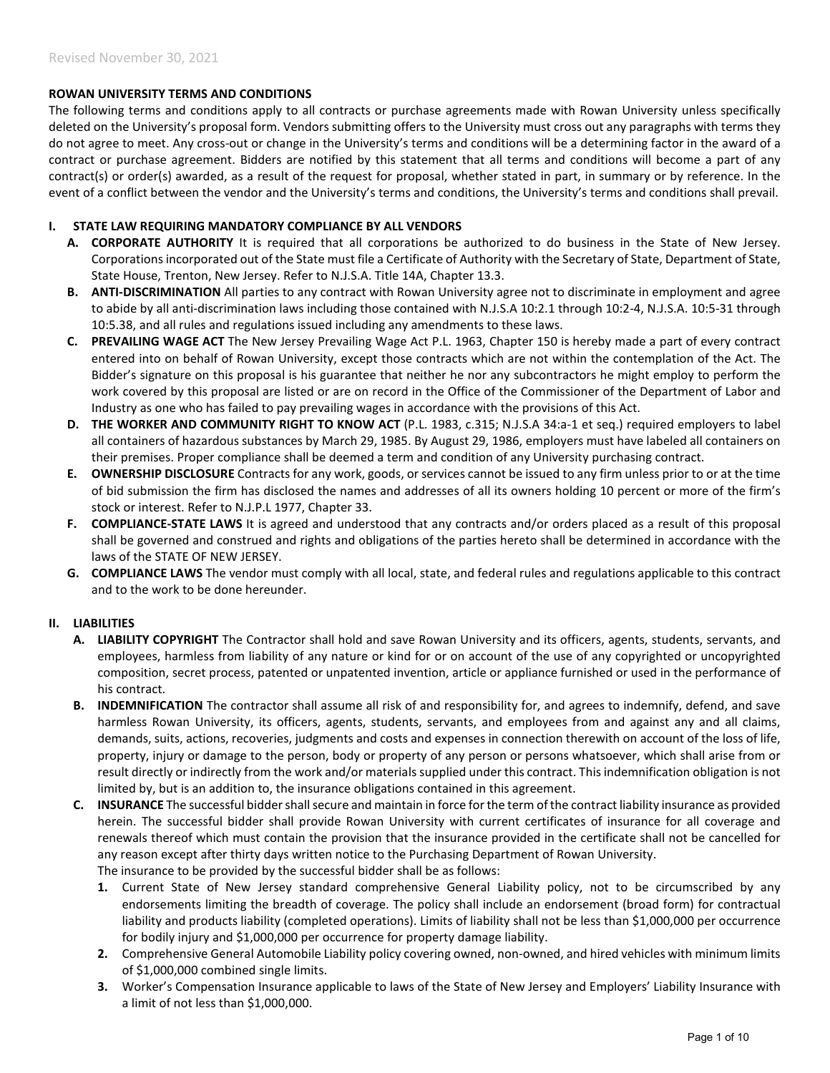## **ROWAN UNIVERSITY TERMS AND CONDITIONS**

The following terms and conditions apply to all contracts or purchase agreements made with Rowan University unless specifically deleted on the University's proposal form. Vendors submitting offers to the University must cross out any paragraphs with terms they do not agree to meet. Any cross‐out or change in the University's terms and conditions will be a determining factor in the award of a contract or purchase agreement. Bidders are notified by this statement that all terms and conditions will become a part of any contract(s) or order(s) awarded, as a result of the request for proposal, whether stated in part, in summary or by reference. In the event of a conflict between the vendor and the University's terms and conditions, the University's terms and conditions shall prevail.

# **I. STATE LAW REQUIRING MANDATORY COMPLIANCE BY ALL VENDORS**

- **A. CORPORATE AUTHORITY** It is required that all corporations be authorized to do business in the State of New Jersey. Corporations incorporated out of the State must file a Certificate of Authority with the Secretary of State, Department of State, State House, Trenton, New Jersey. Refer to N.J.S.A. Title 14A, Chapter 13.3.
- **B. ANTI‐DISCRIMINATION** All parties to any contract with Rowan University agree not to discriminate in employment and agree to abide by all anti‐discrimination laws including those contained with N.J.S.A 10:2.1 through 10:2‐4, N.J.S.A. 10:5‐31 through 10:5.38, and all rules and regulations issued including any amendments to these laws.
- **C. PREVAILING WAGE ACT** The New Jersey Prevailing Wage Act P.L. 1963, Chapter 150 is hereby made a part of every contract entered into on behalf of Rowan University, except those contracts which are not within the contemplation of the Act. The Bidder's signature on this proposal is his guarantee that neither he nor any subcontractors he might employ to perform the work covered by this proposal are listed or are on record in the Office of the Commissioner of the Department of Labor and Industry as one who has failed to pay prevailing wages in accordance with the provisions of this Act.
- **D. THE WORKER AND COMMUNITY RIGHT TO KNOW ACT** (P.L. 1983, c.315; N.J.S.A 34:a‐1 et seq.) required employers to label all containers of hazardous substances by March 29, 1985. By August 29, 1986, employers must have labeled all containers on their premises. Proper compliance shall be deemed a term and condition of any University purchasing contract.
- **E. OWNERSHIP DISCLOSURE** Contracts for any work, goods, or services cannot be issued to any firm unless prior to or at the time of bid submission the firm has disclosed the names and addresses of all its owners holding 10 percent or more of the firm's stock or interest. Refer to N.J.P.L 1977, Chapter 33.
- **F. COMPLIANCE‐STATE LAWS** It is agreed and understood that any contracts and/or orders placed as a result of this proposal shall be governed and construed and rights and obligations of the parties hereto shall be determined in accordance with the laws of the STATE OF NEW JERSEY.
- **G. COMPLIANCE LAWS** The vendor must comply with all local, state, and federal rules and regulations applicable to this contract and to the work to be done hereunder.

## **II. LIABILITIES**

- **A. LIABILITY COPYRIGHT** The Contractor shall hold and save Rowan University and its officers, agents, students, servants, and employees, harmless from liability of any nature or kind for or on account of the use of any copyrighted or uncopyrighted composition, secret process, patented or unpatented invention, article or appliance furnished or used in the performance of his contract.
- **B. INDEMNIFICATION** The contractor shall assume all risk of and responsibility for, and agrees to indemnify, defend, and save harmless Rowan University, its officers, agents, students, servants, and employees from and against any and all claims, demands, suits, actions, recoveries, judgments and costs and expenses in connection therewith on account of the loss of life, property, injury or damage to the person, body or property of any person or persons whatsoever, which shall arise from or result directly or indirectly from the work and/or materials supplied under this contract. This indemnification obligation is not limited by, but is an addition to, the insurance obligations contained in this agreement.
- **C. INSURANCE** The successful bidder shall secure and maintain in force for the term of the contract liability insurance as provided herein. The successful bidder shall provide Rowan University with current certificates of insurance for all coverage and renewals thereof which must contain the provision that the insurance provided in the certificate shall not be cancelled for any reason except after thirty days written notice to the Purchasing Department of Rowan University.
	- The insurance to be provided by the successful bidder shall be as follows:
	- **1.** Current State of New Jersey standard comprehensive General Liability policy, not to be circumscribed by any endorsements limiting the breadth of coverage. The policy shall include an endorsement (broad form) for contractual liability and products liability (completed operations). Limits of liability shall not be less than \$1,000,000 per occurrence for bodily injury and \$1,000,000 per occurrence for property damage liability.
	- 2. Comprehensive General Automobile Liability policy covering owned, non-owned, and hired vehicles with minimum limits of \$1,000,000 combined single limits.
	- **3.** Worker's Compensation Insurance applicable to laws of the State of New Jersey and Employers' Liability Insurance with a limit of not less than \$1,000,000.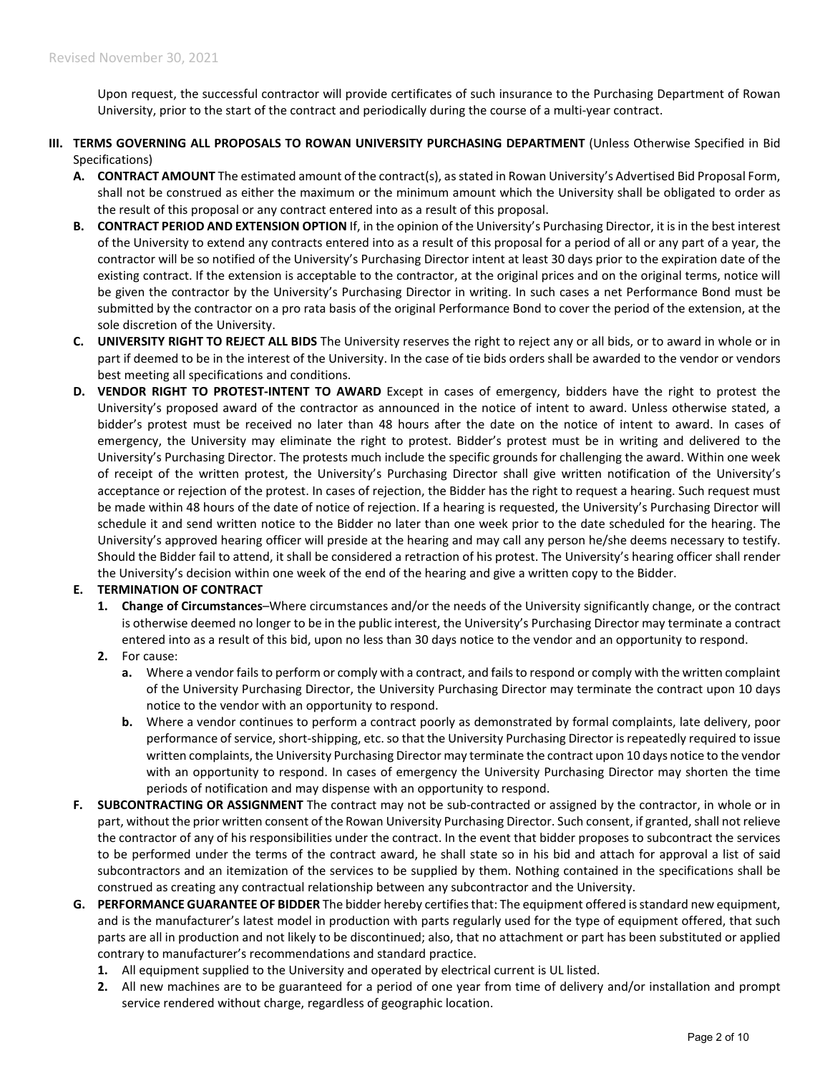Upon request, the successful contractor will provide certificates of such insurance to the Purchasing Department of Rowan University, prior to the start of the contract and periodically during the course of a multi-year contract.

- **III. TERMS GOVERNING ALL PROPOSALS TO ROWAN UNIVERSITY PURCHASING DEPARTMENT** (Unless Otherwise Specified in Bid Specifications)
	- **A. CONTRACT AMOUNT** The estimated amount of the contract(s), as stated in Rowan University's Advertised Bid Proposal Form, shall not be construed as either the maximum or the minimum amount which the University shall be obligated to order as the result of this proposal or any contract entered into as a result of this proposal.
	- **B. CONTRACT PERIOD AND EXTENSION OPTION** If, in the opinion of the University's Purchasing Director, it is in the best interest of the University to extend any contracts entered into as a result of this proposal for a period of all or any part of a year, the contractor will be so notified of the University's Purchasing Director intent at least 30 days prior to the expiration date of the existing contract. If the extension is acceptable to the contractor, at the original prices and on the original terms, notice will be given the contractor by the University's Purchasing Director in writing. In such cases a net Performance Bond must be submitted by the contractor on a pro rata basis of the original Performance Bond to cover the period of the extension, at the sole discretion of the University.
	- **C. UNIVERSITY RIGHT TO REJECT ALL BIDS** The University reserves the right to reject any or all bids, or to award in whole or in part if deemed to be in the interest of the University. In the case of tie bids orders shall be awarded to the vendor or vendors best meeting all specifications and conditions.
	- **D. VENDOR RIGHT TO PROTEST‐INTENT TO AWARD** Except in cases of emergency, bidders have the right to protest the University's proposed award of the contractor as announced in the notice of intent to award. Unless otherwise stated, a bidder's protest must be received no later than 48 hours after the date on the notice of intent to award. In cases of emergency, the University may eliminate the right to protest. Bidder's protest must be in writing and delivered to the University's Purchasing Director. The protests much include the specific grounds for challenging the award. Within one week of receipt of the written protest, the University's Purchasing Director shall give written notification of the University's acceptance or rejection of the protest. In cases of rejection, the Bidder has the right to request a hearing. Such request must be made within 48 hours of the date of notice of rejection. If a hearing is requested, the University's Purchasing Director will schedule it and send written notice to the Bidder no later than one week prior to the date scheduled for the hearing. The University's approved hearing officer will preside at the hearing and may call any person he/she deems necessary to testify. Should the Bidder fail to attend, it shall be considered a retraction of his protest. The University's hearing officer shall render the University's decision within one week of the end of the hearing and give a written copy to the Bidder.

## **E. TERMINATION OF CONTRACT**

- **1. Change of Circumstances**–Where circumstances and/or the needs of the University significantly change, or the contract is otherwise deemed no longer to be in the public interest, the University's Purchasing Director may terminate a contract entered into as a result of this bid, upon no less than 30 days notice to the vendor and an opportunity to respond.
- **2.** For cause:
	- **a.** Where a vendor fails to perform or comply with a contract, and fails to respond or comply with the written complaint of the University Purchasing Director, the University Purchasing Director may terminate the contract upon 10 days notice to the vendor with an opportunity to respond.
	- **b.** Where a vendor continues to perform a contract poorly as demonstrated by formal complaints, late delivery, poor performance of service, short‐shipping, etc. so that the University Purchasing Director is repeatedly required to issue written complaints, the University Purchasing Director may terminate the contract upon 10 days notice to the vendor with an opportunity to respond. In cases of emergency the University Purchasing Director may shorten the time periods of notification and may dispense with an opportunity to respond.
- **F. SUBCONTRACTING OR ASSIGNMENT** The contract may not be sub‐contracted or assigned by the contractor, in whole or in part, without the prior written consent of the Rowan University Purchasing Director. Such consent, if granted, shall not relieve the contractor of any of his responsibilities under the contract. In the event that bidder proposes to subcontract the services to be performed under the terms of the contract award, he shall state so in his bid and attach for approval a list of said subcontractors and an itemization of the services to be supplied by them. Nothing contained in the specifications shall be construed as creating any contractual relationship between any subcontractor and the University.
- **G. PERFORMANCE GUARANTEE OF BIDDER** The bidder hereby certifies that: The equipment offered is standard new equipment, and is the manufacturer's latest model in production with parts regularly used for the type of equipment offered, that such parts are all in production and not likely to be discontinued; also, that no attachment or part has been substituted or applied contrary to manufacturer's recommendations and standard practice.
	- **1.** All equipment supplied to the University and operated by electrical current is UL listed.
	- **2.** All new machines are to be guaranteed for a period of one year from time of delivery and/or installation and prompt service rendered without charge, regardless of geographic location.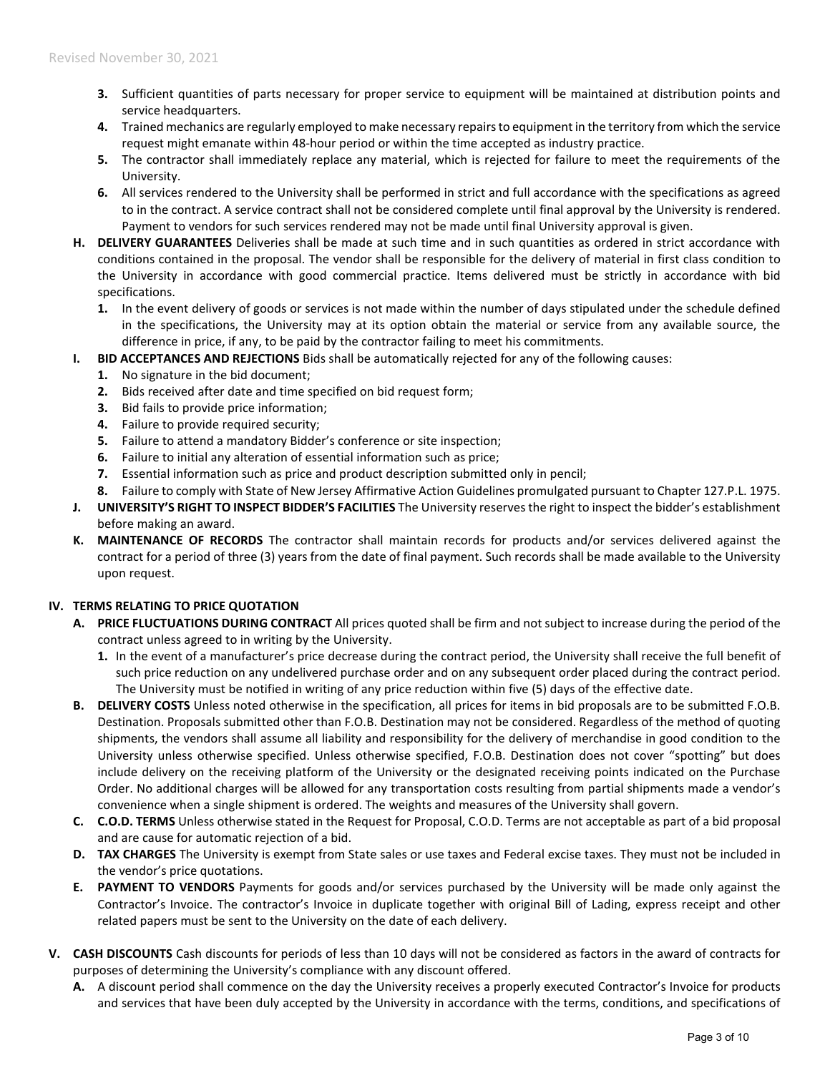- **3.** Sufficient quantities of parts necessary for proper service to equipment will be maintained at distribution points and service headquarters.
- **4.** Trained mechanics are regularly employed to make necessary repairs to equipment in the territory from which the service request might emanate within 48‐hour period or within the time accepted as industry practice.
- **5.** The contractor shall immediately replace any material, which is rejected for failure to meet the requirements of the University.
- **6.** All services rendered to the University shall be performed in strict and full accordance with the specifications as agreed to in the contract. A service contract shall not be considered complete until final approval by the University is rendered. Payment to vendors for such services rendered may not be made until final University approval is given.
- **H. DELIVERY GUARANTEES** Deliveries shall be made at such time and in such quantities as ordered in strict accordance with conditions contained in the proposal. The vendor shall be responsible for the delivery of material in first class condition to the University in accordance with good commercial practice. Items delivered must be strictly in accordance with bid specifications.
	- **1.** In the event delivery of goods or services is not made within the number of days stipulated under the schedule defined in the specifications, the University may at its option obtain the material or service from any available source, the difference in price, if any, to be paid by the contractor failing to meet his commitments.
- **I. BID ACCEPTANCES AND REJECTIONS** Bids shall be automatically rejected for any of the following causes:
	- **1.** No signature in the bid document;
	- **2.** Bids received after date and time specified on bid request form;
	- **3.** Bid fails to provide price information;
	- **4.** Failure to provide required security;
	- **5.** Failure to attend a mandatory Bidder's conference or site inspection;
	- **6.** Failure to initial any alteration of essential information such as price;
	- **7.** Essential information such as price and product description submitted only in pencil;
	- **8.** Failure to comply with State of New Jersey Affirmative Action Guidelines promulgated pursuant to Chapter 127.P.L. 1975.
- **J. UNIVERSITY'S RIGHT TO INSPECT BIDDER'S FACILITIES** The University reserves the right to inspect the bidder's establishment before making an award.
- **K. MAINTENANCE OF RECORDS** The contractor shall maintain records for products and/or services delivered against the contract for a period of three (3) years from the date of final payment. Such records shall be made available to the University upon request.

## **IV. TERMS RELATING TO PRICE QUOTATION**

- **A. PRICE FLUCTUATIONS DURING CONTRACT** All prices quoted shall be firm and not subject to increase during the period of the contract unless agreed to in writing by the University.
	- **1.** In the event of a manufacturer's price decrease during the contract period, the University shall receive the full benefit of such price reduction on any undelivered purchase order and on any subsequent order placed during the contract period. The University must be notified in writing of any price reduction within five (5) days of the effective date.
- **B. DELIVERY COSTS** Unless noted otherwise in the specification, all prices for items in bid proposals are to be submitted F.O.B. Destination. Proposals submitted other than F.O.B. Destination may not be considered. Regardless of the method of quoting shipments, the vendors shall assume all liability and responsibility for the delivery of merchandise in good condition to the University unless otherwise specified. Unless otherwise specified, F.O.B. Destination does not cover "spotting" but does include delivery on the receiving platform of the University or the designated receiving points indicated on the Purchase Order. No additional charges will be allowed for any transportation costs resulting from partial shipments made a vendor's convenience when a single shipment is ordered. The weights and measures of the University shall govern.
- **C. C.O.D. TERMS** Unless otherwise stated in the Request for Proposal, C.O.D. Terms are not acceptable as part of a bid proposal and are cause for automatic rejection of a bid.
- **D. TAX CHARGES** The University is exempt from State sales or use taxes and Federal excise taxes. They must not be included in the vendor's price quotations.
- **E. PAYMENT TO VENDORS** Payments for goods and/or services purchased by the University will be made only against the Contractor's Invoice. The contractor's Invoice in duplicate together with original Bill of Lading, express receipt and other related papers must be sent to the University on the date of each delivery.
- **V. CASH DISCOUNTS** Cash discounts for periods of less than 10 days will not be considered as factors in the award of contracts for purposes of determining the University's compliance with any discount offered.
	- **A.** A discount period shall commence on the day the University receives a properly executed Contractor's Invoice for products and services that have been duly accepted by the University in accordance with the terms, conditions, and specifications of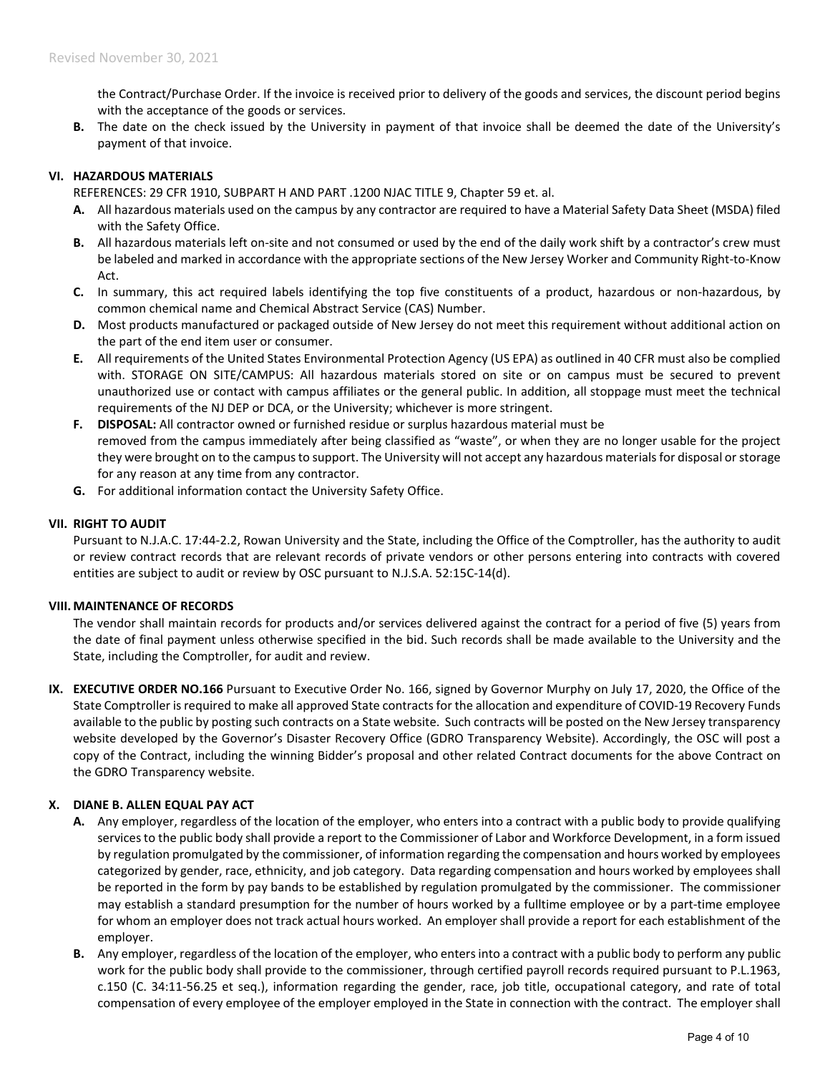the Contract/Purchase Order. If the invoice is received prior to delivery of the goods and services, the discount period begins with the acceptance of the goods or services.

**B.** The date on the check issued by the University in payment of that invoice shall be deemed the date of the University's payment of that invoice.

#### **VI. HAZARDOUS MATERIALS**

REFERENCES: 29 CFR 1910, SUBPART H AND PART .1200 NJAC TITLE 9, Chapter 59 et. al.

- **A.** All hazardous materials used on the campus by any contractor are required to have a Material Safety Data Sheet (MSDA) filed with the Safety Office.
- **B.** All hazardous materials left on‐site and not consumed or used by the end of the daily work shift by a contractor's crew must be labeled and marked in accordance with the appropriate sections of the New Jersey Worker and Community Right-to-Know Act.
- **C.** In summary, this act required labels identifying the top five constituents of a product, hazardous or non‐hazardous, by common chemical name and Chemical Abstract Service (CAS) Number.
- **D.** Most products manufactured or packaged outside of New Jersey do not meet this requirement without additional action on the part of the end item user or consumer.
- **E.** All requirements of the United States Environmental Protection Agency (US EPA) as outlined in 40 CFR must also be complied with. STORAGE ON SITE/CAMPUS: All hazardous materials stored on site or on campus must be secured to prevent unauthorized use or contact with campus affiliates or the general public. In addition, all stoppage must meet the technical requirements of the NJ DEP or DCA, or the University; whichever is more stringent.
- **F. DISPOSAL:** All contractor owned or furnished residue or surplus hazardous material must be removed from the campus immediately after being classified as "waste", or when they are no longer usable for the project they were brought on to the campus to support. The University will not accept any hazardous materials for disposal or storage for any reason at any time from any contractor.
- **G.** For additional information contact the University Safety Office.

#### **VII. RIGHT TO AUDIT**

Pursuant to N.J.A.C. 17:44-2.2, Rowan University and the State, including the Office of the Comptroller, has the authority to audit or review contract records that are relevant records of private vendors or other persons entering into contracts with covered entities are subject to audit or review by OSC pursuant to N.J.S.A. 52:15C-14(d).

#### **VIII. MAINTENANCE OF RECORDS**

The vendor shall maintain records for products and/or services delivered against the contract for a period of five (5) years from the date of final payment unless otherwise specified in the bid. Such records shall be made available to the University and the State, including the Comptroller, for audit and review.

**IX. EXECUTIVE ORDER NO.166** Pursuant to Executive Order No. 166, signed by Governor Murphy on July 17, 2020, the Office of the State Comptroller is required to make all approved State contracts for the allocation and expenditure of COVID-19 Recovery Funds available to the public by posting such contracts on a State website. Such contracts will be posted on the New Jersey transparency website developed by the Governor's Disaster Recovery Office (GDRO Transparency Website). Accordingly, the OSC will post a copy of the Contract, including the winning Bidder's proposal and other related Contract documents for the above Contract on the GDRO Transparency website.

## **X. DIANE B. ALLEN EQUAL PAY ACT**

- **A.** Any employer, regardless of the location of the employer, who enters into a contract with a public body to provide qualifying services to the public body shall provide a report to the Commissioner of Labor and Workforce Development, in a form issued by regulation promulgated by the commissioner, of information regarding the compensation and hours worked by employees categorized by gender, race, ethnicity, and job category. Data regarding compensation and hours worked by employees shall be reported in the form by pay bands to be established by regulation promulgated by the commissioner. The commissioner may establish a standard presumption for the number of hours worked by a fulltime employee or by a part-time employee for whom an employer does not track actual hours worked. An employer shall provide a report for each establishment of the employer.
- **B.** Any employer, regardless of the location of the employer, who enters into a contract with a public body to perform any public work for the public body shall provide to the commissioner, through certified payroll records required pursuant to P.L.1963, c.150 (C. 34:11-56.25 et seq.), information regarding the gender, race, job title, occupational category, and rate of total compensation of every employee of the employer employed in the State in connection with the contract. The employer shall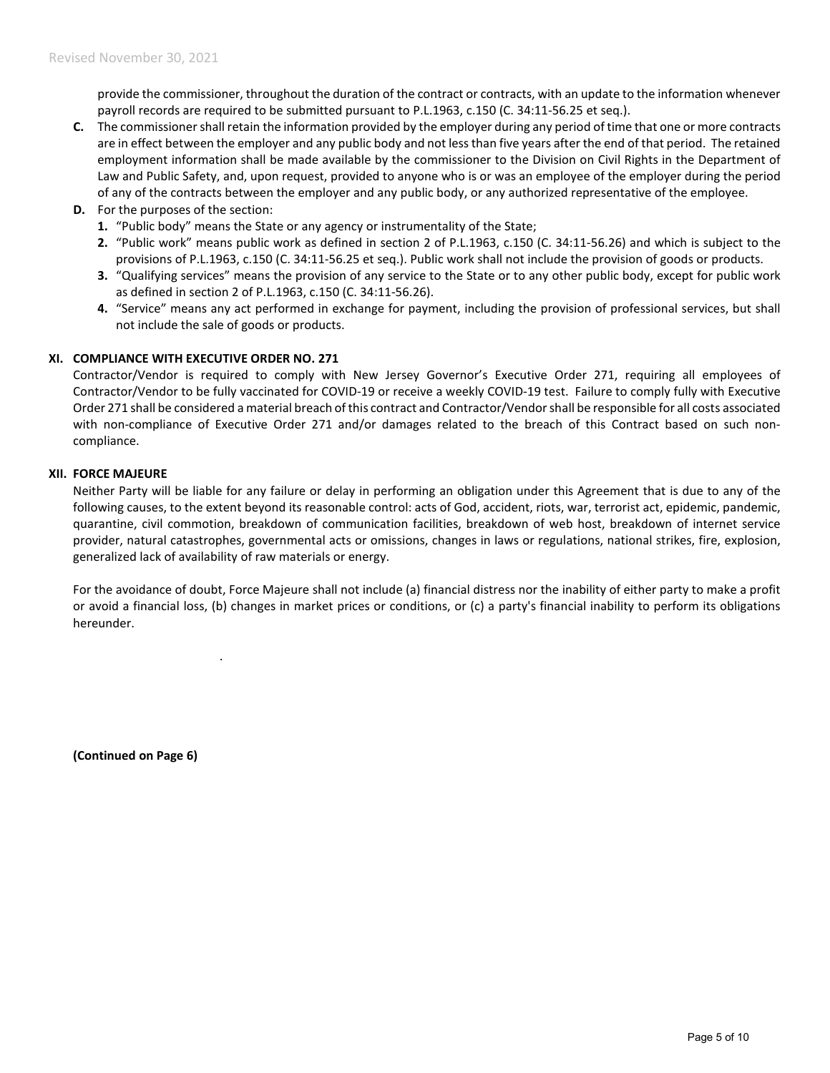provide the commissioner, throughout the duration of the contract or contracts, with an update to the information whenever payroll records are required to be submitted pursuant to P.L.1963, c.150 (C. 34:11-56.25 et seq.).

- **C.** The commissioner shall retain the information provided by the employer during any period of time that one or more contracts are in effect between the employer and any public body and not less than five years after the end of that period. The retained employment information shall be made available by the commissioner to the Division on Civil Rights in the Department of Law and Public Safety, and, upon request, provided to anyone who is or was an employee of the employer during the period of any of the contracts between the employer and any public body, or any authorized representative of the employee.
- **D.** For the purposes of the section:
	- **1.** "Public body" means the State or any agency or instrumentality of the State;
	- **2.** "Public work" means public work as defined in section 2 of P.L.1963, c.150 (C. 34:11-56.26) and which is subject to the provisions of P.L.1963, c.150 (C. 34:11-56.25 et seq.). Public work shall not include the provision of goods or products.
	- **3.** "Qualifying services" means the provision of any service to the State or to any other public body, except for public work as defined in section 2 of P.L.1963, c.150 (C. 34:11-56.26).
	- **4.** "Service" means any act performed in exchange for payment, including the provision of professional services, but shall not include the sale of goods or products.

#### **XI. COMPLIANCE WITH EXECUTIVE ORDER NO. 271**

.

Contractor/Vendor is required to comply with New Jersey Governor's Executive Order 271, requiring all employees of Contractor/Vendor to be fully vaccinated for COVID-19 or receive a weekly COVID-19 test. Failure to comply fully with Executive Order 271 shall be considered a material breach of this contract and Contractor/Vendor shall be responsible for all costs associated with non-compliance of Executive Order 271 and/or damages related to the breach of this Contract based on such noncompliance.

#### **XII. FORCE MAJEURE**

Neither Party will be liable for any failure or delay in performing an obligation under this Agreement that is due to any of the following causes, to the extent beyond its reasonable control: acts of God, accident, riots, war, terrorist act, epidemic, pandemic, quarantine, civil commotion, breakdown of communication facilities, breakdown of web host, breakdown of internet service provider, natural catastrophes, governmental acts or omissions, changes in laws or regulations, national strikes, fire, explosion, generalized lack of availability of raw materials or energy.

For the avoidance of doubt, Force Majeure shall not include (a) financial distress nor the inability of either party to make a profit or avoid a financial loss, (b) changes in market prices or conditions, or (c) a party's financial inability to perform its obligations hereunder.

**(Continued on Page 6)**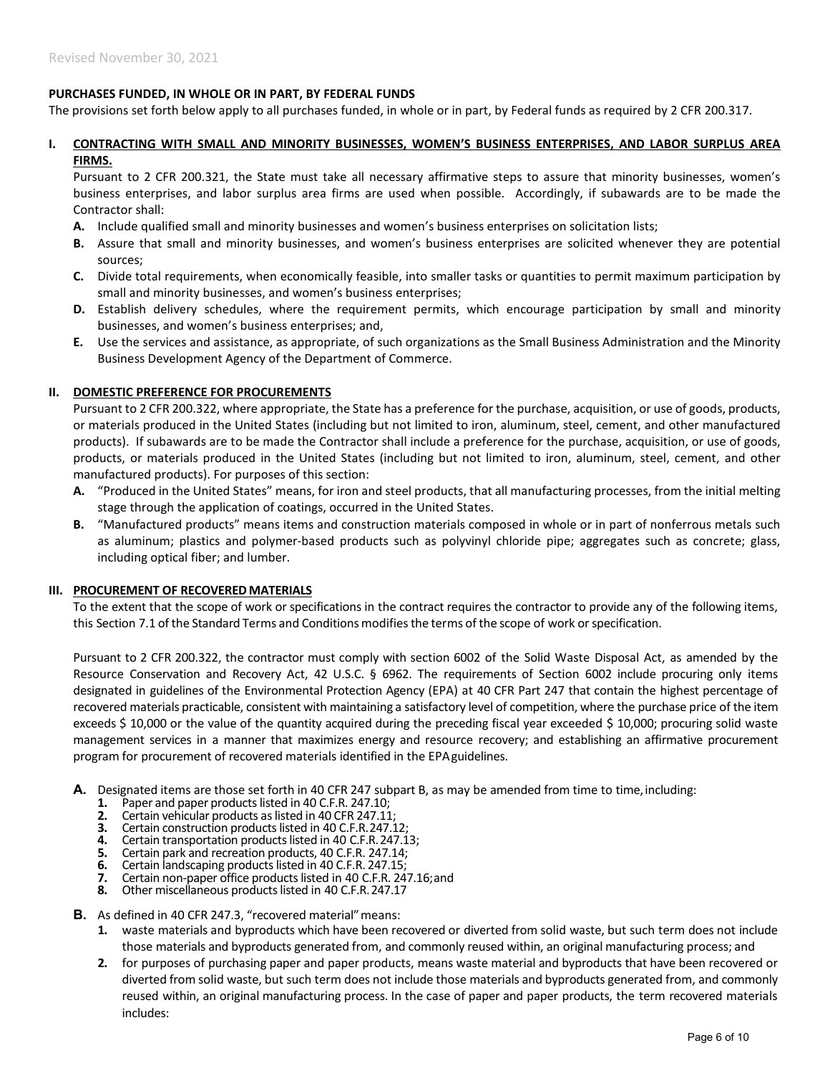# **PURCHASES FUNDED, IN WHOLE OR IN PART, BY FEDERAL FUNDS**

The provisions set forth below apply to all purchases funded, in whole or in part, by Federal funds as required by 2 CFR 200.317.

**I. CONTRACTING WITH SMALL AND MINORITY BUSINESSES, WOMEN'S BUSINESS ENTERPRISES, AND LABOR SURPLUS AREA FIRMS.**

Pursuant to 2 CFR 200.321, the State must take all necessary affirmative steps to assure that minority businesses, women's business enterprises, and labor surplus area firms are used when possible. Accordingly, if subawards are to be made the Contractor shall:

- **A.** Include qualified small and minority businesses and women's business enterprises on solicitation lists;
- **B.** Assure that small and minority businesses, and women's business enterprises are solicited whenever they are potential sources;
- **C.** Divide total requirements, when economically feasible, into smaller tasks or quantities to permit maximum participation by small and minority businesses, and women's business enterprises;
- **D.** Establish delivery schedules, where the requirement permits, which encourage participation by small and minority businesses, and women's business enterprises; and,
- **E.** Use the services and assistance, as appropriate, of such organizations as the Small Business Administration and the Minority Business Development Agency of the Department of Commerce.

## **II. DOMESTIC PREFERENCE FOR PROCUREMENTS**

Pursuant to 2 CFR 200.322, where appropriate, the State has a preference for the purchase, acquisition, or use of goods, products, or materials produced in the United States (including but not limited to iron, aluminum, steel, cement, and other manufactured products). If subawards are to be made the Contractor shall include a preference for the purchase, acquisition, or use of goods, products, or materials produced in the United States (including but not limited to iron, aluminum, steel, cement, and other manufactured products). For purposes of this section:

- **A.** "Produced in the United States" means, for iron and steel products, that all manufacturing processes, from the initial melting stage through the application of coatings, occurred in the United States.
- **B.** "Manufactured products" means items and construction materials composed in whole or in part of nonferrous metals such as aluminum; plastics and polymer-based products such as polyvinyl chloride pipe; aggregates such as concrete; glass, including optical fiber; and lumber.

#### **III. PROCUREMENT OF RECOVERED MATERIALS**

To the extent that the scope of work or specifications in the contract requires the contractor to provide any of the following items, this Section 7.1 of the Standard Terms and Conditions modifies the terms of the scope of work or specification.

Pursuant to 2 CFR 200.322, the contractor must comply with section 6002 of the Solid Waste Disposal Act, as amended by the Resource Conservation and Recovery Act, 42 U.S.C. § 6962. The requirements of Section 6002 include procuring only items designated in guidelines of the Environmental Protection Agency (EPA) at 40 CFR Part 247 that contain the highest percentage of recovered materials practicable, consistent with maintaining a satisfactory level of competition, where the purchase price of the item exceeds \$10,000 or the value of the quantity acquired during the preceding fiscal year exceeded \$10,000; procuring solid waste management services in a manner that maximizes energy and resource recovery; and establishing an affirmative procurement program for procurement of recovered materials identified in the EPAguidelines.

- **A.** Designated items are those set forth in 40 CFR 247 subpart B, as may be amended from time to time, including:
	- **1.** Paper and paper products listed in 40 C.F.R. 247.10;<br>**2.** Certain vehicular products as listed in 40 CFR 247.11
	- **2.** Certain vehicular products aslisted in 40 CFR 247.11;
	- **3.** Certain construction products listed in 40 C.F.R.247.12;<br>**4.** Certain transportation products listed in 40 C.F.R.247.1
	- **4.** Certain transportation products listed in 40 C.F.R.247.13;
	- **5.** Certain park and recreation products, 40 C.F.R. 247.14;
	- **6.** Certain landscaping products listed in 40 C.F.R. 247.15;
	- **7.** Certain non-paper office products listed in 40 C.F.R. 247.16;and
	- **8.** Other miscellaneous products listed in 40 C.F.R.247.17
- **B.** As defined in 40 CFR 247.3, "recovered material" means:
	- **1.** waste materials and byproducts which have been recovered or diverted from solid waste, but such term does not include those materials and byproducts generated from, and commonly reused within, an original manufacturing process; and
	- **2.** for purposes of purchasing paper and paper products, means waste material and byproducts that have been recovered or diverted from solid waste, but such term does not include those materials and byproducts generated from, and commonly reused within, an original manufacturing process. In the case of paper and paper products, the term recovered materials includes: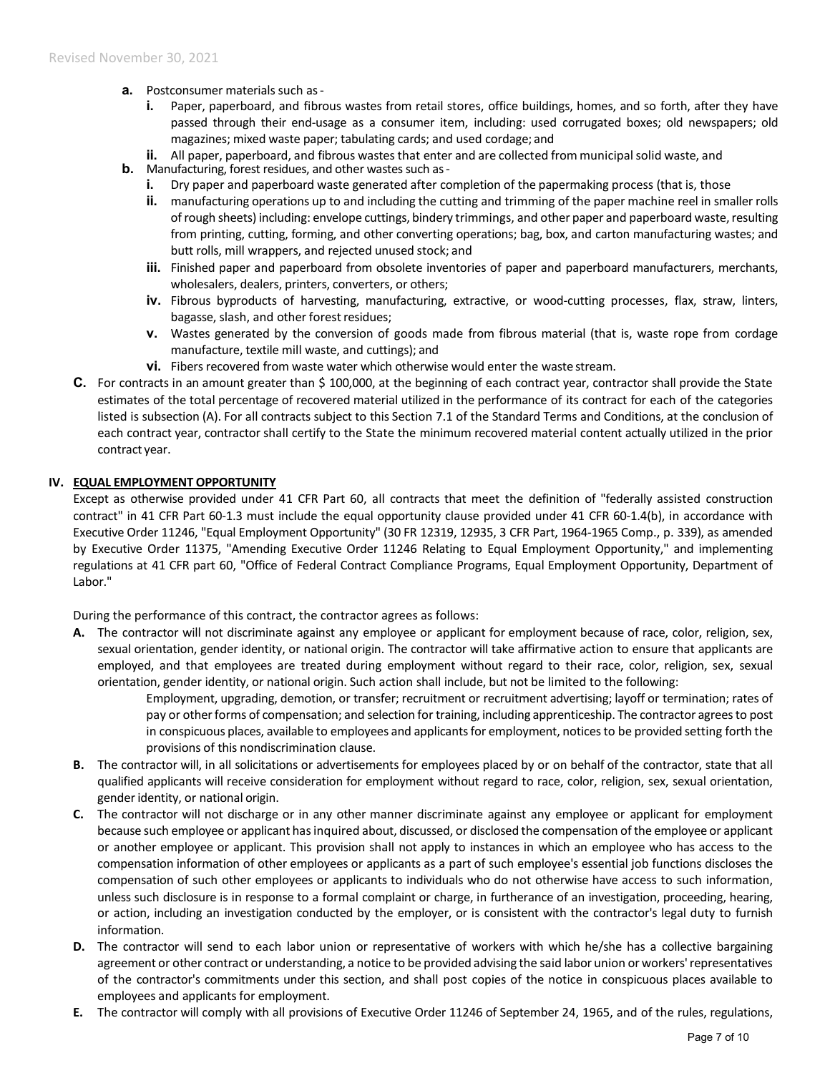- **a.** Postconsumer materials such as
	- **i.** Paper, paperboard, and fibrous wastes from retail stores, office buildings, homes, and so forth, after they have passed through their end-usage as a consumer item, including: used corrugated boxes; old newspapers; old magazines; mixed waste paper; tabulating cards; and used cordage; and
- **ii.** All paper, paperboard, and fibrous wastes that enter and are collected from municipalsolid waste, and
- **b.** Manufacturing, forest residues, and other wastes such as
	- **i.** Dry paper and paperboard waste generated after completion of the papermaking process (that is, those
	- **ii.** manufacturing operations up to and including the cutting and trimming of the paper machine reel in smaller rolls of rough sheets) including: envelope cuttings, bindery trimmings, and other paper and paperboard waste, resulting from printing, cutting, forming, and other converting operations; bag, box, and carton manufacturing wastes; and butt rolls, mill wrappers, and rejected unused stock; and
	- **iii.** Finished paper and paperboard from obsolete inventories of paper and paperboard manufacturers, merchants, wholesalers, dealers, printers, converters, or others;
	- **iv.** Fibrous byproducts of harvesting, manufacturing, extractive, or wood-cutting processes, flax, straw, linters, bagasse, slash, and other forest residues;
	- **v.** Wastes generated by the conversion of goods made from fibrous material (that is, waste rope from cordage manufacture, textile mill waste, and cuttings); and
	- **vi.** Fibers recovered from waste water which otherwise would enter the waste stream.
- **C.** For contracts in an amount greater than \$ 100,000, at the beginning of each contract year, contractor shall provide the State estimates of the total percentage of recovered material utilized in the performance of its contract for each of the categories listed is subsection (A). For all contracts subject to this Section 7.1 of the Standard Terms and Conditions, at the conclusion of each contract year, contractor shall certify to the State the minimum recovered material content actually utilized in the prior contract year.

## **IV. EQUAL EMPLOYMENT OPPORTUNITY**

Except as otherwise provided under 41 CFR Part 60, all contracts that meet the definition of "federally assisted construction contract" in 41 CFR Part 60-1.3 must include the equal opportunity clause provided under 41 CFR 60-1.4(b), in accordance with Executive Order 11246, "Equal Employment Opportunity" (30 FR 12319, 12935, 3 CFR Part, 1964-1965 Comp., p. 339), as amended by Executive Order 11375, "Amending Executive Order 11246 Relating to Equal Employment Opportunity," and implementing regulations at 41 CFR part 60, "Office of Federal Contract Compliance Programs, Equal Employment Opportunity, Department of Labor."

During the performance of this contract, the contractor agrees as follows:

- **A.** The contractor will not discriminate against any employee or applicant for employment because of race, color, religion, sex, sexual orientation, gender identity, or national origin. The contractor will take affirmative action to ensure that applicants are employed, and that employees are treated during employment without regard to their race, color, religion, sex, sexual orientation, gender identity, or national origin. Such action shall include, but not be limited to the following:
	- Employment, upgrading, demotion, or transfer; recruitment or recruitment advertising; layoff or termination; rates of pay or other forms of compensation; and selection for training, including apprenticeship. The contractor agrees to post in conspicuous places, available to employees and applicants for employment, notices to be provided setting forth the provisions of this nondiscrimination clause.
- **B.** The contractor will, in all solicitations or advertisements for employees placed by or on behalf of the contractor, state that all qualified applicants will receive consideration for employment without regard to race, color, religion, sex, sexual orientation, gender identity, or national origin.
- **C.** The contractor will not discharge or in any other manner discriminate against any employee or applicant for employment because such employee or applicant has inquired about, discussed, or disclosed the compensation of the employee or applicant or another employee or applicant. This provision shall not apply to instances in which an employee who has access to the compensation information of other employees or applicants as a part of such employee's essential job functions discloses the compensation of such other employees or applicants to individuals who do not otherwise have access to such information, unless such disclosure is in response to a formal complaint or charge, in furtherance of an investigation, proceeding, hearing, or action, including an investigation conducted by the employer, or is consistent with the contractor's legal duty to furnish information.
- **D.** The contractor will send to each labor union or representative of workers with which he/she has a collective bargaining agreement or other contract or understanding, a notice to be provided advising the said labor union or workers' representatives of the contractor's commitments under this section, and shall post copies of the notice in conspicuous places available to employees and applicants for employment.
- **E.** The contractor will comply with all provisions of Executive Order 11246 of September 24, 1965, and of the rules, regulations,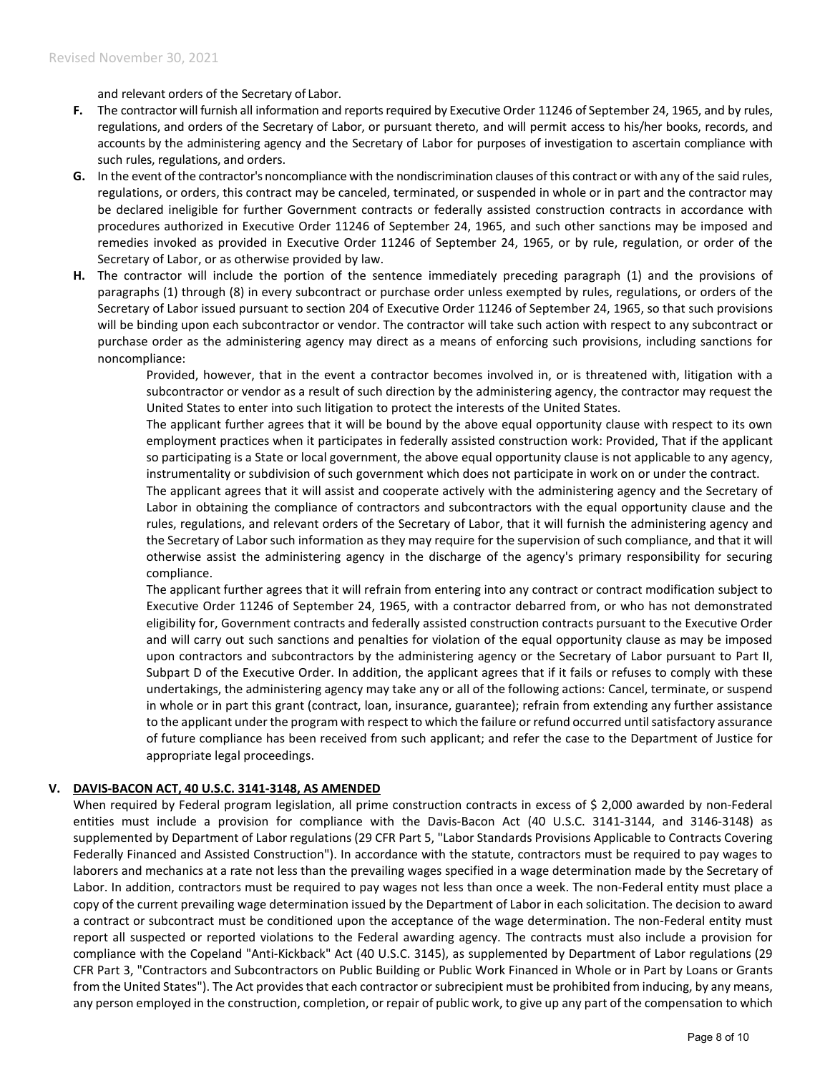and relevant orders of the Secretary of Labor.

- **F.** The contractor will furnish all information and reports required by Executive Order 11246 of September 24, 1965, and by rules, regulations, and orders of the Secretary of Labor, or pursuant thereto, and will permit access to his/her books, records, and accounts by the administering agency and the Secretary of Labor for purposes of investigation to ascertain compliance with such rules, regulations, and orders.
- **G.** In the event of the contractor's noncompliance with the nondiscrimination clauses of this contract or with any of the said rules, regulations, or orders, this contract may be canceled, terminated, or suspended in whole or in part and the contractor may be declared ineligible for further Government contracts or federally assisted construction contracts in accordance with procedures authorized in Executive Order 11246 of September 24, 1965, and such other sanctions may be imposed and remedies invoked as provided in Executive Order 11246 of September 24, 1965, or by rule, regulation, or order of the Secretary of Labor, or as otherwise provided by law.
- **H.** The contractor will include the portion of the sentence immediately preceding paragraph (1) and the provisions of paragraphs (1) through (8) in every subcontract or purchase order unless exempted by rules, regulations, or orders of the Secretary of Labor issued pursuant to section 204 of Executive Order 11246 of September 24, 1965, so that such provisions will be binding upon each subcontractor or vendor. The contractor will take such action with respect to any subcontract or purchase order as the administering agency may direct as a means of enforcing such provisions, including sanctions for noncompliance:

Provided, however, that in the event a contractor becomes involved in, or is threatened with, litigation with a subcontractor or vendor as a result of such direction by the administering agency, the contractor may request the United States to enter into such litigation to protect the interests of the United States.

The applicant further agrees that it will be bound by the above equal opportunity clause with respect to its own employment practices when it participates in federally assisted construction work: Provided, That if the applicant so participating is a State or local government, the above equal opportunity clause is not applicable to any agency, instrumentality or subdivision of such government which does not participate in work on or under the contract.

The applicant agrees that it will assist and cooperate actively with the administering agency and the Secretary of Labor in obtaining the compliance of contractors and subcontractors with the equal opportunity clause and the rules, regulations, and relevant orders of the Secretary of Labor, that it will furnish the administering agency and the Secretary of Labor such information as they may require for the supervision of such compliance, and that it will otherwise assist the administering agency in the discharge of the agency's primary responsibility for securing compliance.

The applicant further agrees that it will refrain from entering into any contract or contract modification subject to Executive Order 11246 of September 24, 1965, with a contractor debarred from, or who has not demonstrated eligibility for, Government contracts and federally assisted construction contracts pursuant to the Executive Order and will carry out such sanctions and penalties for violation of the equal opportunity clause as may be imposed upon contractors and subcontractors by the administering agency or the Secretary of Labor pursuant to Part II, Subpart D of the Executive Order. In addition, the applicant agrees that if it fails or refuses to comply with these undertakings, the administering agency may take any or all of the following actions: Cancel, terminate, or suspend in whole or in part this grant (contract, loan, insurance, guarantee); refrain from extending any further assistance to the applicant under the program with respect to which the failure or refund occurred until satisfactory assurance of future compliance has been received from such applicant; and refer the case to the Department of Justice for appropriate legal proceedings.

# **V. DAVIS-BACON ACT, 40 U.S.C. 3141-3148, AS AMENDED**

When required by Federal program legislation, all prime construction contracts in excess of \$ 2,000 awarded by non-Federal entities must include a provision for compliance with the Davis-Bacon Act (40 U.S.C. 3141-3144, and 3146-3148) as supplemented by Department of Labor regulations (29 CFR Part 5, "Labor Standards Provisions Applicable to Contracts Covering Federally Financed and Assisted Construction"). In accordance with the statute, contractors must be required to pay wages to laborers and mechanics at a rate not less than the prevailing wages specified in a wage determination made by the Secretary of Labor. In addition, contractors must be required to pay wages not less than once a week. The non-Federal entity must place a copy of the current prevailing wage determination issued by the Department of Labor in each solicitation. The decision to award a contract or subcontract must be conditioned upon the acceptance of the wage determination. The non-Federal entity must report all suspected or reported violations to the Federal awarding agency. The contracts must also include a provision for compliance with the Copeland "Anti-Kickback" Act (40 U.S.C. 3145), as supplemented by Department of Labor regulations (29 CFR Part 3, "Contractors and Subcontractors on Public Building or Public Work Financed in Whole or in Part by Loans or Grants from the United States"). The Act provides that each contractor or subrecipient must be prohibited from inducing, by any means, any person employed in the construction, completion, or repair of public work, to give up any part of the compensation to which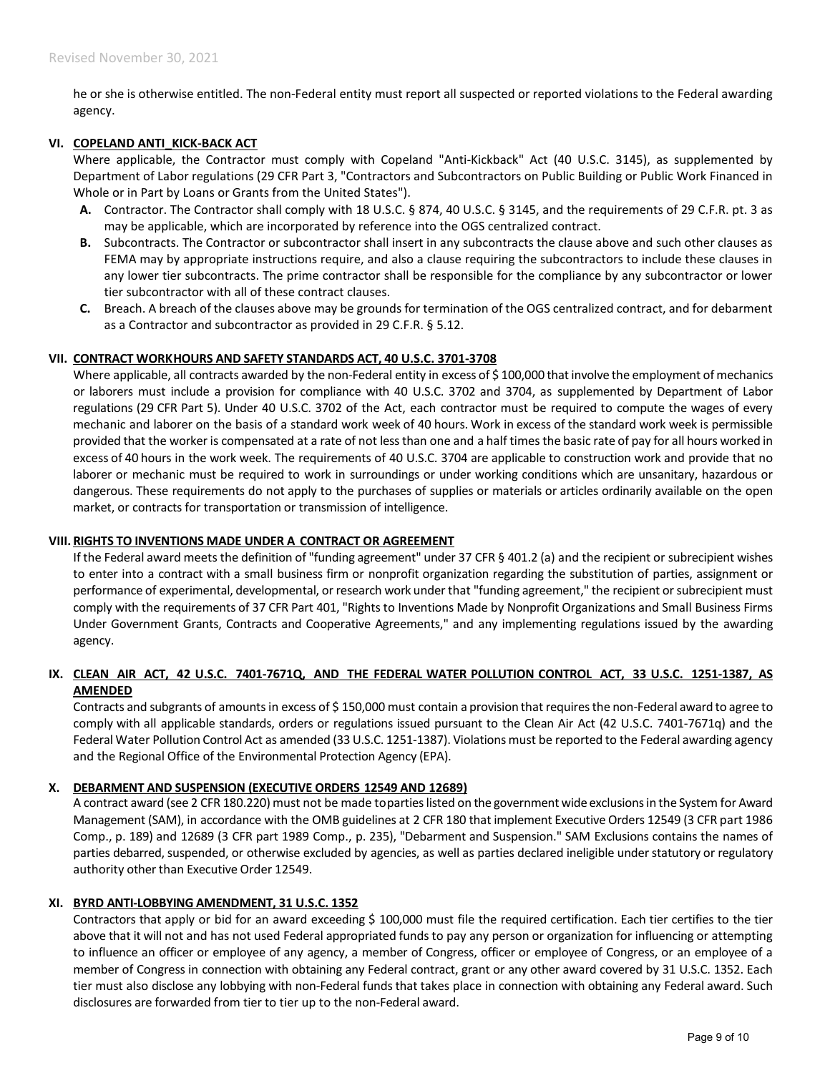he or she is otherwise entitled. The non-Federal entity must report all suspected or reported violations to the Federal awarding agency.

#### **VI. COPELAND ANTI\_KICK-BACK ACT**

Where applicable, the Contractor must comply with Copeland "Anti-Kickback" Act (40 U.S.C. 3145), as supplemented by Department of Labor regulations (29 CFR Part 3, "Contractors and Subcontractors on Public Building or Public Work Financed in Whole or in Part by Loans or Grants from the United States").

- **A.** Contractor. The Contractor shall comply with 18 U.S.C. § 874, 40 U.S.C. § 3145, and the requirements of 29 C.F.R. pt. 3 as may be applicable, which are incorporated by reference into the OGS centralized contract.
- **B.** Subcontracts. The Contractor or subcontractor shall insert in any subcontracts the clause above and such other clauses as FEMA may by appropriate instructions require, and also a clause requiring the subcontractors to include these clauses in any lower tier subcontracts. The prime contractor shall be responsible for the compliance by any subcontractor or lower tier subcontractor with all of these contract clauses.
- **C.** Breach. A breach of the clauses above may be grounds for termination of the OGS centralized contract, and for debarment as a Contractor and subcontractor as provided in 29 C.F.R. § 5.12.

#### **VII. CONTRACT WORKHOURS AND SAFETY STANDARDS ACT, 40 U.S.C. 3701-3708**

Where applicable, all contracts awarded by the non-Federal entity in excess of \$100,000 that involve the employment of mechanics or laborers must include a provision for compliance with 40 U.S.C. 3702 and 3704, as supplemented by Department of Labor regulations (29 CFR Part 5). Under 40 U.S.C. 3702 of the Act, each contractor must be required to compute the wages of every mechanic and laborer on the basis of a standard work week of 40 hours. Work in excess of the standard work week is permissible provided that the worker is compensated at a rate of not lessthan one and a half timesthe basic rate of pay for all hours worked in excess of 40 hours in the work week. The requirements of 40 U.S.C. 3704 are applicable to construction work and provide that no laborer or mechanic must be required to work in surroundings or under working conditions which are unsanitary, hazardous or dangerous. These requirements do not apply to the purchases of supplies or materials or articles ordinarily available on the open market, or contracts for transportation or transmission of intelligence.

#### **VIII. RIGHTS TO INVENTIONS MADE UNDER A CONTRACT OR AGREEMENT**

If the Federal award meets the definition of "funding agreement" under 37 CFR § 401.2 (a) and the recipient or subrecipient wishes to enter into a contract with a small business firm or nonprofit organization regarding the substitution of parties, assignment or performance of experimental, developmental, or research work under that "funding agreement," the recipient or subrecipient must comply with the requirements of 37 CFR Part 401, "Rights to Inventions Made by Nonprofit Organizations and Small Business Firms Under Government Grants, Contracts and Cooperative Agreements," and any implementing regulations issued by the awarding agency.

## **IX. CLEAN AIR ACT, 42 U.S.C. 7401-7671Q, AND THE FEDERAL WATER POLLUTION CONTROL ACT, 33 U.S.C. 1251-1387, AS AMENDED**

Contracts and subgrants of amounts in excess of \$150,000 must contain a provision that requires the non-Federal award to agree to comply with all applicable standards, orders or regulations issued pursuant to the Clean Air Act (42 U.S.C. 7401-7671q) and the Federal Water Pollution Control Act as amended (33 U.S.C. 1251-1387). Violations must be reported to the Federal awarding agency and the Regional Office of the Environmental Protection Agency (EPA).

## **X. DEBARMENT AND SUSPENSION (EXECUTIVE ORDERS 12549 AND 12689)**

A contract award (see 2 CFR 180.220) must not be made toparties listed on the government wide exclusionsin the System for Award Management (SAM), in accordance with the OMB guidelines at 2 CFR 180 that implement Executive Orders 12549 (3 CFR part 1986 Comp., p. 189) and 12689 (3 CFR part 1989 Comp., p. 235), "Debarment and Suspension." SAM Exclusions contains the names of parties debarred, suspended, or otherwise excluded by agencies, as well as parties declared ineligible under statutory or regulatory authority other than Executive Order 12549.

#### **XI. BYRD ANTI-LOBBYING AMENDMENT, 31 U.S.C. 1352**

Contractors that apply or bid for an award exceeding \$ 100,000 must file the required certification. Each tier certifies to the tier above that it will not and has not used Federal appropriated funds to pay any person or organization for influencing or attempting to influence an officer or employee of any agency, a member of Congress, officer or employee of Congress, or an employee of a member of Congress in connection with obtaining any Federal contract, grant or any other award covered by 31 U.S.C. 1352. Each tier must also disclose any lobbying with non-Federal funds that takes place in connection with obtaining any Federal award. Such disclosures are forwarded from tier to tier up to the non-Federal award.